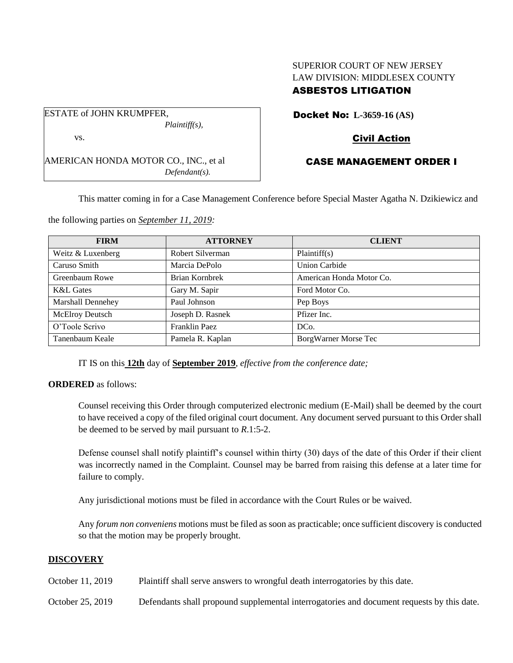# SUPERIOR COURT OF NEW JERSEY LAW DIVISION: MIDDLESEX COUNTY ASBESTOS LITIGATION

ESTATE of JOHN KRUMPFER, *Plaintiff(s),* vs.

AMERICAN HONDA MOTOR CO., INC., et al *Defendant(s).*

Docket No: **L-3659-16 (AS)**

# Civil Action

# CASE MANAGEMENT ORDER I

This matter coming in for a Case Management Conference before Special Master Agatha N. Dzikiewicz and

the following parties on *September 11, 2019:*

| <b>FIRM</b>              | <b>ATTORNEY</b>  | <b>CLIENT</b>            |
|--------------------------|------------------|--------------------------|
| Weitz & Luxenberg        | Robert Silverman | Plaintiff(s)             |
| Caruso Smith             | Marcia DePolo    | <b>Union Carbide</b>     |
| Greenbaum Rowe           | Brian Kornbrek   | American Honda Motor Co. |
| <b>K&amp;L</b> Gates     | Gary M. Sapir    | Ford Motor Co.           |
| <b>Marshall Dennehey</b> | Paul Johnson     | Pep Boys                 |
| <b>McElroy Deutsch</b>   | Joseph D. Rasnek | Pfizer Inc.              |
| O'Toole Scrivo           | Franklin Paez    | DC <sub>o</sub> .        |
| Tanenbaum Keale          | Pamela R. Kaplan | BorgWarner Morse Tec     |

IT IS on this **12th** day of **September 2019**, *effective from the conference date;*

## **ORDERED** as follows:

Counsel receiving this Order through computerized electronic medium (E-Mail) shall be deemed by the court to have received a copy of the filed original court document. Any document served pursuant to this Order shall be deemed to be served by mail pursuant to *R*.1:5-2.

Defense counsel shall notify plaintiff's counsel within thirty (30) days of the date of this Order if their client was incorrectly named in the Complaint. Counsel may be barred from raising this defense at a later time for failure to comply.

Any jurisdictional motions must be filed in accordance with the Court Rules or be waived.

Any *forum non conveniens* motions must be filed as soon as practicable; once sufficient discovery is conducted so that the motion may be properly brought.

## **DISCOVERY**

- October 11, 2019 Plaintiff shall serve answers to wrongful death interrogatories by this date.
- October 25, 2019 Defendants shall propound supplemental interrogatories and document requests by this date.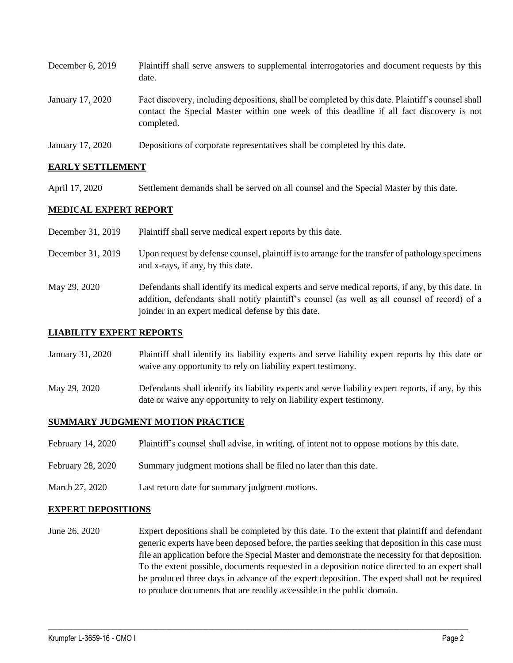| December $6, 2019$ | Plaintiff shall serve answers to supplemental interrogatories and document requests by this<br>date.                                                                                                        |
|--------------------|-------------------------------------------------------------------------------------------------------------------------------------------------------------------------------------------------------------|
| January 17, 2020   | Fact discovery, including depositions, shall be completed by this date. Plaintiff's counsel shall<br>contact the Special Master within one week of this deadline if all fact discovery is not<br>completed. |
| January 17, 2020   | Depositions of corporate representatives shall be completed by this date.                                                                                                                                   |

## **EARLY SETTLEMENT**

April 17, 2020 Settlement demands shall be served on all counsel and the Special Master by this date.

## **MEDICAL EXPERT REPORT**

- December 31, 2019 Plaintiff shall serve medical expert reports by this date.
- December 31, 2019 Upon request by defense counsel, plaintiff is to arrange for the transfer of pathology specimens and x-rays, if any, by this date.
- May 29, 2020 Defendants shall identify its medical experts and serve medical reports, if any, by this date. In addition, defendants shall notify plaintiff's counsel (as well as all counsel of record) of a joinder in an expert medical defense by this date.

#### **LIABILITY EXPERT REPORTS**

- January 31, 2020 Plaintiff shall identify its liability experts and serve liability expert reports by this date or waive any opportunity to rely on liability expert testimony.
- May 29, 2020 Defendants shall identify its liability experts and serve liability expert reports, if any, by this date or waive any opportunity to rely on liability expert testimony.

## **SUMMARY JUDGMENT MOTION PRACTICE**

- February 14, 2020 Plaintiff's counsel shall advise, in writing, of intent not to oppose motions by this date.
- February 28, 2020 Summary judgment motions shall be filed no later than this date.
- March 27, 2020 Last return date for summary judgment motions.

#### **EXPERT DEPOSITIONS**

June 26, 2020 Expert depositions shall be completed by this date. To the extent that plaintiff and defendant generic experts have been deposed before, the parties seeking that deposition in this case must file an application before the Special Master and demonstrate the necessity for that deposition. To the extent possible, documents requested in a deposition notice directed to an expert shall be produced three days in advance of the expert deposition. The expert shall not be required to produce documents that are readily accessible in the public domain.

 $\_$  , and the set of the set of the set of the set of the set of the set of the set of the set of the set of the set of the set of the set of the set of the set of the set of the set of the set of the set of the set of th